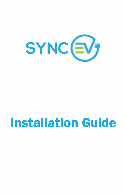

# **Installation Guide**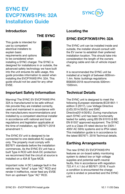

#### **Introduction**

 **THE SYNC**

This guide is intended for use by competent electrical installers to explain basic requirements and options to be considered when



installing a SYNC charger. The SYNC is designed for installations in or outside, the advanced safety technology we have built into the unit ensures its safe usage, this guide provides information to assist when installing the EVCP7KWS1PH: 32A. This guide should not be used for any other **EVSE** 

### **Important Safety Information**

Warning! The SYNC EV EVCP7KWS1PH: 32A is manufactured to be safe without risk provide they are installed correctly, used and maintained in accordance with the manufacturers recommendations and installed by a competent electrical installer in accordance with national and local regulations and legislation applicable at the time of installation, eg: BS7671:2018 amendment 1.

The SYNC EV unit is designed to be connected to one dedicated AC supply only. The property must comply with BS7671 standards before the installation commences. As the SYNC EV unit has a built Type A RCD with 6mA DC protection we recommend that the circuit at source is installed on a 40A B Type MCB.

Important note: A DC Leakage fault in the vehicle may "blind" a type "AC" RCD and render it ineffective, never feed any EVSE from an upstream Type "AC" RCD.

#### **Locating the**

#### **SYNC EVCP7KWS1PH: 32A**

The SYNC unit can be installed inside and outside, the installer should consult with the EV owner to establish their preferred installation location. This should take into consideration the length of the owners charging cable and risk of vehicle impact etc.

It is recommended the SYNC unit be installed at a height of between 600mm-1.4m. Note: buildings regulations BS8300:2018 recommends 500mm-1500mm.

### **Technical Details**

The SYNC unit is designed to meet the following European standards:IEC61851-1 edition 3 (2017), Low Voltage Directive (LVD) 2014/35/EU and EMC Directive2014/30/EU. During manufacture each SYNC unit has been functionality tested for safety using BS EN 61010 & BS EN 61557 approved equipment. The SYNC unit is a Class I/II rated device for 230V / 400V AC 50Hz systems and is IP54 rated. This installation guide is in accordance to the latest BS7671: 2018 Technical details.

### **Earthing Arrangements**

The new SYNC EV EVCP7KWS1PH features an on-board safety monitoring system to detect low or high voltage supplies and potential earth-neutral faults, this in accordance with regulation 722.411.4.1 (iv) of BS7671 2018. If such a condition is encountered the charge cycle is ended or prevented and the SYNC unit.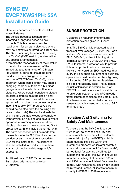

effectively becomes a double insulated (class II) device.

The vehicle becomes isolated from incoming supply and poses no risk to touch. This feature removes the requirement for an earth electrode where it may be ineffective or introduce further risk. The SYNC unit may be connected directly to a TN-C-S (PME) earthing system without any special arrangements. It remains the responsibility of the installer to conduct a risk assessment of the immediate area to a range of 10 Meters (equipotential zone) to ensure no other conductive metal fixings pose risks (mixture of TT/TN-Sand TN-C-S), this is important where cable length may enable charging inside or outside of a building/ garage where the vehicle is within touch distance. Where certain conditions dictate an earth electrode must be used it shall be independent from the distributors earth system with no direct interconnection(the incoming supply SWA protective earth should be isolated from the housing and/ or earth electrode).The electrical installer shall install a suitable electrode complete with termination housing and covers where appropriate, warning labels should be visible and close to the unconnected SWA protective earth (e.g inside the SYNC unit). The earth connection shall be made from the electrode to the SYNC unit via copper conductor earth wire of an appropriate CSA for the installation. The earth wire shall be installed in conduit where there is a risk of mechanical damage or UV exposure.

Additional note: SYNC EV recommend Earth electrode impedance to be <100ohms

#### **SURGE PROTECTION**

Guidance on requirements for surge protection devices given In BS7671: section

443. The SYNC unit is protected against transient over voltages (+/-2kV Line-Earth and +/-1kV Line-Line as a requirement of EN 61000-6-1), a direct lightning strike carries a current of 30~ 200kA the SYNC EV units internal protection would provide little or no protection in such an event likewise nor would an SPD rated less than 30kA. If life support equipment or business operations could be affected by a lightning strike central SPD protection is advised if it does not already exist. The guidance on risk calculation in section 443.5 of BS7671 in most cases is not possible due to unknown location of any SPD already fitted, length of cables to calculate LP etc. it Is therefore recommended a common sense approach is used on choice of SPD (or if required).

#### **Isolation And Switching for Safety And Maintenance**

To ensure that the SYNC unit can be "turned off" to enhance security and enable maintenance activities, a double pole isolator (or 2 pole RCBO) suitably rated must be installed within the customer's property. An isolator switch is a mandatory requirement for "new builds", but optional for existing dwellings (at customer's request), the switch should be mounted at a height of between 500mm and 1500mm above finished floor level to comply with regulations. The switch should be rated at 45 amps. All installations must comply to BS7671: 2018 regulations.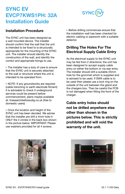

#### **Installation Procedure**

The SYNC unit has been designed as a wall mounted device. The installer should confirm that the wall that the unit is intended to be fixed to is structurally appropriate for the mounting of the SYNC unit. The installer should identify the construction of the wall, and identify the correct and appropriate fixings to use.

• The Installer has a duty of care to ensure that the SYNC unit is securely attached to the wall or structure where the unit is intended to be operated from.

• NOTE: If any groundworks are required (cable trenching or earth electrode fitment) it is advisable to check if underground services could be present before commencement, plans maybe available at: linesearchbeforeudig.co.uk (free to domestic users)

 $\cdot$  Once the location and height of the SYNC unit has been decided. We advise that the installer pre drill a 4mm hole in ONLY the 4 circles in the back box shown in the picture below. IMPORTANT: Please use washers provided for all 4 screws.

• Before drilling commences ensure that the installation wall has been checked for electric cabling or pipework with a suitable detector.

#### **Drilling The Holes For The Electrical Supply Cable Entry**

As the electrical supply to the SYNC unit may be fed from 2 directions; the unit has been designed to accept supply cable entry on either the bottom or via rear entry. The installer should drill a suitable 25mm hole for the grommet which is supplied and is advised to be used. If SWA cable is to be used then please use a lock ring on the outside of the unit between the gland and the chargers box. Then be careful the PCB is not damaged when fitting the front of the charger.

**Cable entry holes should not be drilled anywhere else other than shown in the pictures below. This is strictly prohibited and will void the warranty of the unit.**



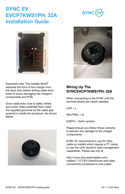Important note: The installer MUST separate the front of the charger from the back bow before drilling cable entry holes to avoid damaging the charger's components and PCB.

Once cable entry hole is safely drilled and screw holes predrilled then insert the supplied grommet so the cable grip pyramid is inside the enclosure. As shown below.

**Wiring Up The SYNCEVCP7KWS1PH: 32A**

When connecting to the SYNC unit the terminal blocks are clearly labelled.

 $LIVF = L$ 

NEUTRAL = N

EARTH = Earth symbol

Please ensure you follow these correctly to prevent any damage to the charger components.

SYNC EV recommend to use EV Ultra cable on installs which require a CT clamp to use the units dynamic load management capabilities. Please see info at

http://www.doncastercables.com/ cables/1 7/77/EV-Ultra/Power-and-dataconnectivity-combined-in-one-cable/







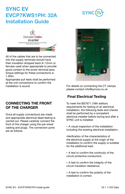#### SYNC EV - EVCP7KWS1PH Install quide V2.1 11/20 Data

## **SYNC EV EVCP7KWS1PH: 32A Installation Guide**

Doncoster Cables EV-ULTRA®

All of the cables that are to be connected into the supply terminals should have their insulation stripped back 8~12mm or ferrules used when appropriate to provide good contact to the screw terminal jaws, torque settings for these connections is 1.5Nm.

Appropriate pull tests shall be performed at the unit connections to confirm the installation is sound.

#### **CONNECTING THE FRONT OF THE CHARGER**

Once all supply connections are made and appropriate electrical dead testing is carried out. Please carefully connect the front of the charger using the pre-wired cabling and plugs. The connection ports are as follows.

For details on connecting the CT clamps please contact info@syncev.co.uk

## **Final Electrical Testing**

To meet the BS7671 (18th edition) requirements for testing of an electrical installation, the following tests and checks shall be performed by a competent electrical installer before during and after a SYNC unit is installed:

• A visual inspection of the installation including the existing electrical installation.

<sup>l</sup>Verification of the characteristics of the electrical supply at the origin of the installation to confirm the supply is suitable for the additional load.

- A test to confirm the continuity of the circuit protective conductors.
- A test to confirm the integrity of the circuit insulation resistance.
- A test to confirm the polarity of the installation is correct.





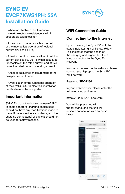

• Where applicable a test to confirm the earth electrode resistance is within acceptable tolerances (or)

 $\cdot$  An earth loop impedance test  $\cdot$  A test of the mechanical operation of residual current devices (RCD's)

• A test to confirm the operation of residual current devices (RCD's) is within stipulated timescales (at the rated current and at five times the rated current operating current.)

• A test or calculated measurement of the prospective fault current.

• A verification of the functional operation of the SYNC unit. An electrical installation certificate must be completed.

#### **Important Information**

SYNC EV do not authorise the use of ANY In cable adaptors, charging cables used should not have any modifications made to them. If there is evidence of damage to the charging connector(s) or cable it should not be used for safety reasons.

#### **WIFI Connection Guide**

#### **Connecting to the Internet**

Upon powering the Sync EV unit, the status indicator light will show Yellow. This indicates that the health of the charging unit is good but there is no connection to the Sync EV Network.

In order to connect to the network,please connect your laptop to the Sync EV WIFI network –

Password **SEV-1234**

In your web browser, please enter the following web address –

https://192.168.4.1/index.html

You will be presented with the following, and the unit will indicate connection with an audio beep.

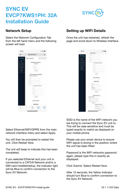

#### **Network Setup**

Select the Network Configuration Tab from the left hand menu and the following screen will load.



#### **Setting up WIFI Details**

Once the unit has restarted, refresh the page and scroll down to Wireless Interface.

| \$47.94         | 14 15 16 1<br>$\sim$<br><b>IT A WEIGHT</b><br>m                                                            |
|-----------------|------------------------------------------------------------------------------------------------------------|
|                 | NO MALL<br>- -                                                                                             |
| <b>SYN</b><br>÷ | $-1$<br>-<br>۰<br>٠<br><b>COMPANY</b><br>r.<br>v.<br>$\mathbf{r}$<br><b>STEP</b><br>e.<br>$\sim$<br>÷<br>۰ |
|                 | <b>Print</b><br>---<br>1. Marketin<br>---<br>÷<br><b>COMPANY</b><br>--                                     |
|                 | oid<br>ł<br>alkinks".<br>ŧ<br>ora domu<br>m                                                                |
|                 | ۰<br>and in<br>×<br>ł<br>-<br>$\rightarrow$<br>×<br>$\sim$                                                 |
|                 | V,<br>$- - -$<br>۹<br>me,                                                                                  |
|                 | ÷<br>1.111<br>×.<br>. .<br>í<br><b>COLOR</b><br>ï<br>٠                                                     |
|                 | 一<br>n.<br>--<br>972<br>۲                                                                                  |
|                 | í<br>'n<br>ĭ<br>$\sim$                                                                                     |

Select Ethernet/WIFI/GPRS from the main network interface menu and select Apply.

You will then be prompted to restart the unit. Click Restart Now.

The unit will beep to indicate this has been completed.

If you selected Ethernet and your unit is connected to a CAT5/6 Network and/or a SIM card installed/setup, the indicator light will be Blue to confirm connection to the Sync EV Network.

SSID is the name of the WIFI network you are trying to connect the Sync EV unit to. This will be case sensitive and must be typed exactly to match as displayed on your mobile phone.

Please use your smart device to ensure WIFI signal is strong in the position where the unit has been fitted.

Password is the WIFI networks password again, please type this in exactly as displayed.

Click Submit. Select Restart Now.

After 15 seconds, the Yellow Indicator should turn Blue to confirm connection to the Sync EV Network.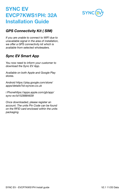

#### **GPS Connectivity Kit ( SIM)**

If you are unable to connect to WIFI due to unavailable signal in the area of installation, we offer a GPS connectivity kit which is available from selected wholesalers.

#### **Sync EV Smart App**

You now need to inform your customer to download the Sync EV App.

Available on both Apple and Google Play stores.

Android https://play.google.com/store/ apps/details?id=syncev.co.uk

i Phonehttps://apps.apple.com/gb/app/ sync-ev/id1528884639

Once downloaded, please register an account. The units Pin Code can be found on the RFID card enclosed within the units packaging.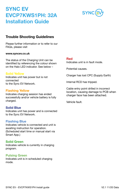

#### **Trouble Shooting Guidelines**

Please further information or to refer to our FAQs, please visit

#### **www.syncev.co.uk**

The status of the Charging Unit can be identified by referencing the colour shown on the Halo LED indicator. See below –

#### **Solid Yellow**

Indicates unit has power but is not connected to the Sync EV Network.

#### **Flashing Yellow**

Indicates charging session has ended successfully and/or vehicle battery is fully charged.

#### **Solid Blue**

Indicates unit has power and is connected to the Sync EV Network.

#### **Flashing Blue**

Indicates vehicle is connected and unit is awaiting instruction for operation. (Scheduled start time or manual start via Smart App.)

#### **Solid Green**

Indicates vehicle is currently in charging program.

#### **Pulsing Green**

Indicates unit is in scheduled charging mode.

#### **Red**

Indicates unit is in fault mode.

Potential causes.

Charger has lost CPC (Supply Earth)

Internal RCD has tripped.

Cable entry point drilled in incorrect location, causing damage to PCB when charger face has been attached.

Vehicle fault.